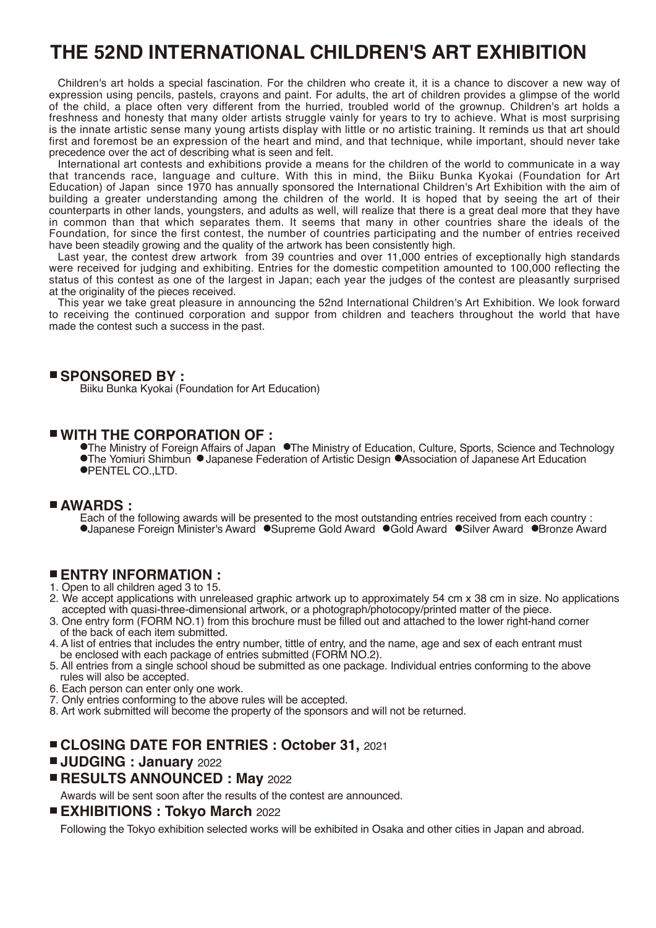# **THE 52ND INTERNATIONAL CHILDREN'S ART EXHIBITION**

Children's art holds a special fascination. For the children who create it, it is a chance to discover a new way of expression using pencils, pastels, crayons and paint. For adults, the art of children provides a glimpse of the world of the child, a place often very different from the hurried, troubled world of the grownup. Children's art holds a freshness and honesty that many older artists struggle vainly for years to try to achieve. What is most surprising is the innate artistic sense many young artists display with little or no artistic training. It reminds us that art should first and foremost be an expression of the heart and mind, and that technique, while important, should never take precedence over the act of describing what is seen and felt.

International art contests and exhibitions provide a means for the children of the world to communicate in a way that trancends race, language and culture. With this in mind, the Biiku Bunka Kyokai (Foundation for Art Education) of Japan since 1970 has annually sponsored the International Children's Art Exhibition with the aim of building a greater understanding among the children of the world. It is hoped that by seeing the art of their counterparts in other lands, youngsters, and adults as well, will realize that there is a great deal more that they have in common than that which separates them. It seems that many in other countries share the ideals of the Foundation, for since the first contest, the number of countries participating and the number of entries received have been steadily growing and the quality of the artwork has been consistently high.

Last year, the contest drew artwork from 39 countries and over 11,000 entries of exceptionally high standards were received for judging and exhibiting. Entries for the domestic competition amounted to 100,000 reflecting the status of this contest as one of the largest in Japan; each year the judges of the contest are pleasantly surprised at the originality of the pieces received.

This year we take great pleasure in announcing the 52nd International Children's Art Exhibition. We look forward to receiving the continued corporation and suppor from children and teachers throughout the world that have made the contest such a success in the past.

#### **SPONSORED BY :**

Biiku Bunka Kyokai (Foundation for Art Education)

## **WITH THE CORPORATION OF :**

**• The Ministry of Foreign Affairs of Japan • The Ministry of Education, Culture, Sports, Science and Technology •The Yomiuri Shimbun • Japanese Federation of Artistic Design • Association of Japanese Art Education** PENTEL CO.,LTD.

## **AWARDS :**

Each of the following awards will be presented to the most outstanding entries received from each country : ●Japanese Foreign Minister's Award ●Supreme Gold Award ●Gold Award ●Silver Award ●Bronze Award

## **ENTRY INFORMATION :**

- 1. Open to all children aged 3 to 15.
- 2. We accept applications with unreleased graphic artwork up to approximately 54 cm x 38 cm in size. No applications accepted with quasi-three-dimensional artwork, or a photograph/photocopy/printed matter of the piece.
- 3. One entry form (FORM NO.1) from this brochure must be filled out and attached to the lower right-hand corner of the back of each item submitted.
- 4. A list of entries that includes the entry number, tittle of entry, and the name, age and sex of each entrant must be enclosed with each package of entries submitted (FORM NO.2).
- 5. All entries from a single school shoud be submitted as one package. Individual entries conforming to the above rules will also be accepted.
- 6. Each person can enter only one work.
- 7. Only entries conforming to the above rules will be accepted.
- 8. Art work submitted will become the property of the sponsors and will not be returned.

## **CLOSING DATE FOR ENTRIES : October 31,** 2021

#### **JUDGING : January** 2022

## **RESULTS ANNOUNCED : May** 2022

Awards will be sent soon after the results of the contest are announced.

## **EXHIBITIONS : Tokyo March** 2022

Following the Tokyo exhibition selected works will be exhibited in Osaka and other cities in Japan and abroad.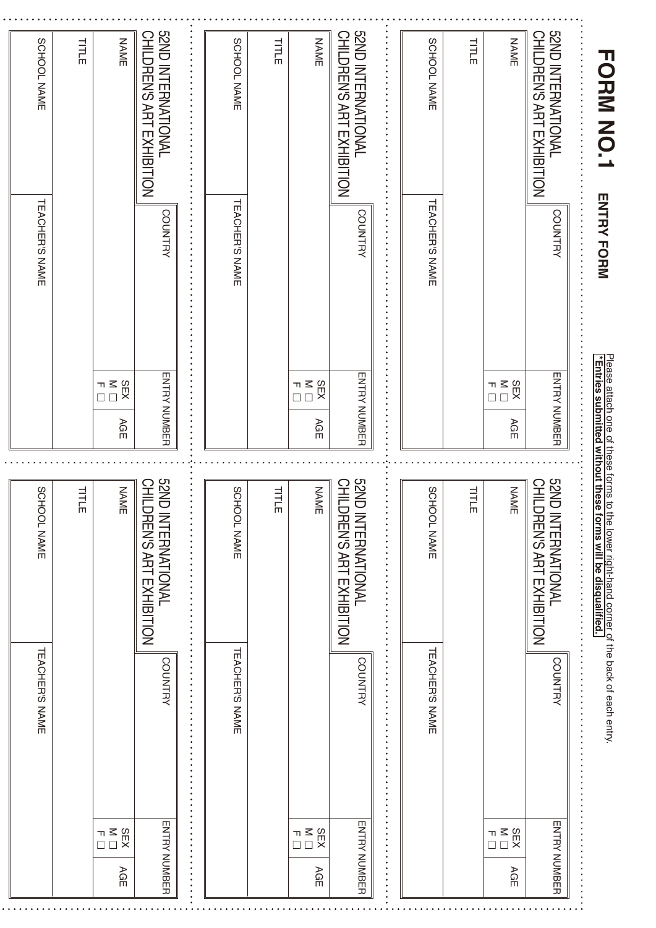| SCHOOL NAME                  | TITLE     | <b>NAME</b>                                                     | <b>S2ND INTERNATIONAL</b><br>CHILDREN'S ART EXHIBITION | SCHOOL NAME                  | TITLE | <b>NAME</b>            | <b>SZND INTERNATIONAL</b><br>CHILDREN'S ART EXHIBITION |                                                                                  | SCHOOL NAME                  | TITLE     | <b>NAME</b>                                                              | <b>S2ND INTERNATIONAL</b><br><b>CHILDREN'S ART EXHIBITION</b> | <b>TORIN NO.1</b>                                                                                                                                                       |
|------------------------------|-----------|-----------------------------------------------------------------|--------------------------------------------------------|------------------------------|-------|------------------------|--------------------------------------------------------|----------------------------------------------------------------------------------|------------------------------|-----------|--------------------------------------------------------------------------|---------------------------------------------------------------|-------------------------------------------------------------------------------------------------------------------------------------------------------------------------|
| <b><i>TEACHER'S NAME</i></b> |           |                                                                 | <b>COUNTRY</b>                                         | <b><i>TEACHER'S NAME</i></b> |       |                        | <b>COUNTRY</b>                                         | $\ddot{\cdot}$<br>.<br>.<br>.<br>.<br>.<br>.<br>$\ddot{\cdot}$<br>$\ddot{\cdot}$ | TEACHER'S NAME               |           |                                                                          | <b>COUNTRY</b>                                                | <b>ENTRY FORM</b>                                                                                                                                                       |
|                              |           | SEX<br>™<br>□□<br>AGE                                           | <b>ENTRY NOMBER</b>                                    |                              |       | SEX<br>™<br>□ □<br>AGE | <b>ENTRY NUMBER</b>                                    |                                                                                  |                              |           | $\begin{array}{c} 0.81 \ 0.11 \ 0.000 \ 0.000 \end{array}$<br>AGE        | <b>ENTRY NUMBER</b>                                           |                                                                                                                                                                         |
| SCHI                         | TILL<br>T | <b>NAME</b>                                                     | <b>GZND</b>                                            | SCHI                         | 山口    | <b>NAME</b>            | <b>GNS</b>                                             |                                                                                  | SCHI                         | TILL<br>T | <b>NAME</b>                                                              | <b>GZND</b><br><b>CHILE</b>                                   |                                                                                                                                                                         |
| OOL NAME                     | Ш         |                                                                 | CHILDREN'S ART EXHIBITION<br><b>INTERNATIONAL</b>      | OOL NAME                     | Ш     |                        | CHILDREN'S ART EXHIBITION<br>INTERNATIONAL             | <b>******************</b><br>$\ddot{\cdot}$                                      | <b>DOL NAME</b>              | Ш         |                                                                          | <b>DREN'S ART EXHIBITION</b><br><b>INTERNATIONAL</b>          | Please attach one of these forms to the lower right-hand corner of the back of each entry.<br><mark>*Entries submitted without these forms will be disqualified.</mark> |
| TEACHER'S NAME               |           |                                                                 | <b>COUNTRY</b>                                         | <b>TEACHER'S NAME</b>        |       |                        | <b>COUNTRY</b>                                         | .                                                                                | <b><i>TEACHER'S NAME</i></b> |           |                                                                          | <b>COUNTRY</b>                                                |                                                                                                                                                                         |
|                              |           | SEX<br>$\begin{array}{c}\n\pi \leq \\ \Box \ \Box\n\end{array}$ |                                                        |                              |       | SEX<br>™<br>□□         |                                                        |                                                                                  |                              |           | N<br>N□<br>$\begin{array}{c}\n\blacksquare \\ \blacksquare\n\end{array}$ |                                                               |                                                                                                                                                                         |
|                              |           | AGE                                                             | <b>ENTRY NUMBER</b>                                    |                              |       | AGE                    | <b>ENTRY NUMBER</b>                                    | $\cdot$<br>$\bullet$                                                             |                              |           | AGE                                                                      | <b>ENTRY NUMBER</b>                                           |                                                                                                                                                                         |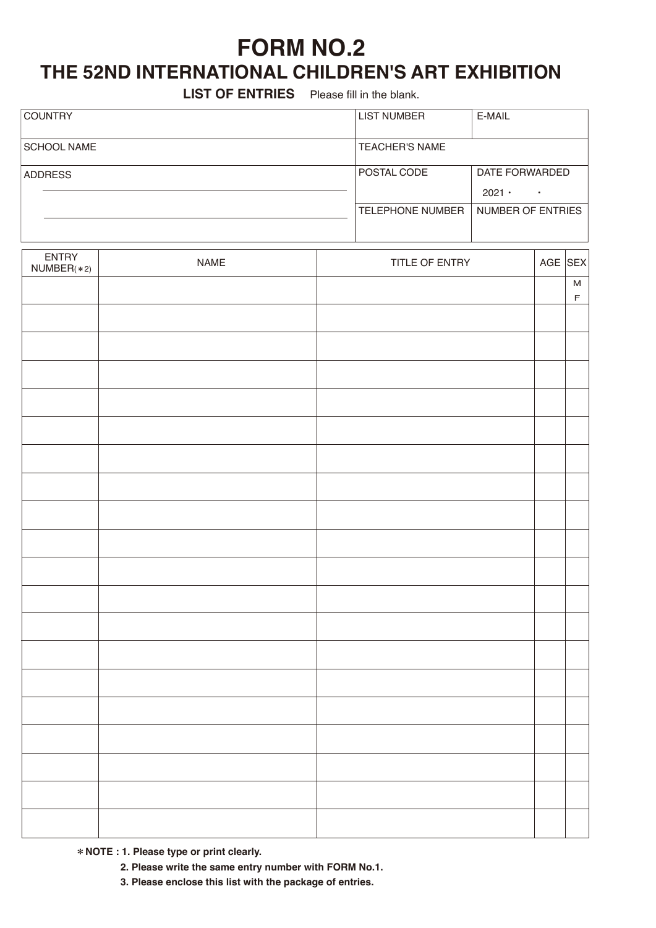# **FORM NO.2**

# **THE 52ND INTERNATIONAL CHILDREN'S ART EXHIBITION**

**LIST OF ENTRIES** Please fill in the blank.

| <b>COUNTRY</b>     | <b>LIST NUMBER</b>      | E-MAIL                          |
|--------------------|-------------------------|---------------------------------|
| <b>SCHOOL NAME</b> | <b>TEACHER'S NAME</b>   |                                 |
| <b>ADDRESS</b>     | POSTAL CODE             | DATE FORWARDED<br>$2021 -$<br>٠ |
|                    | <b>TELEPHONE NUMBER</b> | NUMBER OF ENTRIES               |

| ENTRY<br>NUMBER(*2) | NAME | TITLE OF ENTRY | AGE SEX |                          |
|---------------------|------|----------------|---------|--------------------------|
|                     |      |                |         | ${\sf M}$<br>$\mathsf F$ |
|                     |      |                |         |                          |
|                     |      |                |         |                          |
|                     |      |                |         |                          |
|                     |      |                |         |                          |
|                     |      |                |         |                          |
|                     |      |                |         |                          |
|                     |      |                |         |                          |
|                     |      |                |         |                          |
|                     |      |                |         |                          |
|                     |      |                |         |                          |
|                     |      |                |         |                          |
|                     |      |                |         |                          |
|                     |      |                |         |                          |
|                     |      |                |         |                          |
|                     |      |                |         |                          |
|                     |      |                |         |                          |
|                     |      |                |         |                          |
|                     |      |                |         |                          |
|                     |      |                |         |                          |
|                     |      |                |         |                          |

**NOTE : 1. Please type or print clearly.**

 **2. Please write the same entry number with FORM No.1.**

 **3. Please enclose this list with the package of entries.**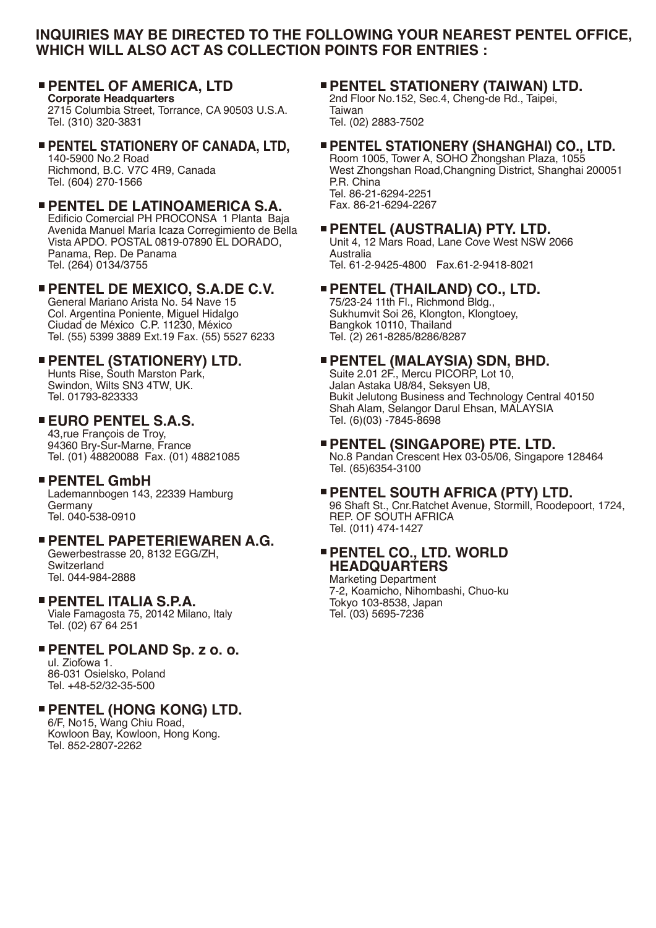## **INQUIRIES MAY BE DIRECTED TO THE FOLLOWING YOUR NEAREST PENTEL OFFICE, WHICH WILL ALSO ACT AS COLLECTION POINTS FOR ENTRIES :**

#### **PENTEL OF AMERICA, LTD Corporate Headquarters**

2715 Columbia Street, Torrance, CA 90503 U.S.A. Tel. (310) 320-3831

**PENTEL STATIONERY OF CANADA, LTD,** 140-5900 No.2 Road Richmond, B.C. V7C 4R9, Canada Tel. (604) 270-1566

## **PENTEL DE LATINOAMERICA S.A.**

Edificio Comercial PH PROCONSA 1 Planta Baja Avenida Manuel María Icaza Corregimiento de Bella Vista APDO. POSTAL 0819-07890 EL DORADO, Panama, Rep. De Panama Tel. (264) 0134/3755

# **PENTEL DE MEXICO, S.A.DE C.V.**

General Mariano Arista No. 54 Nave 15 Col. Argentina Poniente, Miguel Hidalgo Ciudad de México C.P. 11230, México Tel. (55) 5399 3889 Ext.19 Fax. (55) 5527 6233

# **PENTEL (STATIONERY) LTD.**

Hunts Rise, South Marston Park, Swindon, Wilts SN3 4TW, UK. Tel. 01793-823333

## **EURO PENTEL S.A.S.**

43,rue François de Troy, 94360 Bry-Sur-Marne, France Tel. (01) 48820088 Fax. (01) 48821085

## **PENTEL GmbH**

Lademannbogen 143, 22339 Hamburg Germany Tel. 040-538-0910

## **PENTEL PAPETERIEWAREN A.G.**

Gewerbestrasse 20, 8132 EGG/ZH, Switzerland Tel. 044-984-2888

## **PENTEL ITALIA S.P.A.**

Viale Famagosta 75, 20142 Milano, Italy Tel. (02) 67 64 251

## **PENTEL POLAND Sp. z o. o.**

ul. Ziolowa 1. 86-031 Osielsko, Poland Tel. +48-52/32-35-500

## **PENTEL (HONG KONG) LTD.**

6/F, No15, Wang Chiu Road, Kowloon Bay, Kowloon, Hong Kong. Tel. 852-2807-2262

## **PENTEL STATIONERY (TAIWAN) LTD.**

2nd Floor No.152, Sec.4, Cheng-de Rd., Taipei, Taiwan Tel. (02) 2883-7502

# **PENTEL STATIONERY (SHANGHAI) CO., LTD.**

Room 1005, Tower A, SOHO Zhongshan Plaza, 1055 West Zhongshan Road,Changning District, Shanghai 200051 P.R. China Tel. 86-21-6294-2251 Fax. 86-21-6294-2267

## **PENTEL (AUSTRALIA) PTY. LTD.**

Unit 4, 12 Mars Road, Lane Cove West NSW 2066 Australia Tel. 61-2-9425-4800 Fax.61-2-9418-8021

# **PENTEL (THAILAND) CO., LTD.**

75/23-24 11th Fl., Richmond Bldg., Sukhumvit Soi 26, Klongton, Klongtoey, Bangkok 10110, Thailand Tel. (2) 261-8285/8286/8287

## **PENTEL (MALAYSIA) SDN, BHD.**

Suite 2.01 2F., Mercu PICORP, Lot 10, Jalan Astaka U8/84, Seksyen U8, Bukit Jelutong Business and Technology Central 40150 Shah Alam, Selangor Darul Ehsan, MALAYSIA Tel. (6)(03) -7845-8698

## **PENTEL (SINGAPORE) PTE. LTD.**

No.8 Pandan Crescent Hex 03-05/06, Singapore 128464 Tel. (65)6354-3100

## **PENTEL SOUTH AFRICA (PTY) LTD.**

96 Shaft St., Cnr.Ratchet Avenue, Stormill, Roodepoort, 1724, REP. OF SOUTH AFRICA Tel. (011) 474-1427

## **PENTEL CO., LTD. WORLD HEADQUARTERS**

Marketing Department 7-2, Koamicho, Nihombashi, Chuo-ku Tokyo 103-8538, Japan Tel. (03) 5695-7236